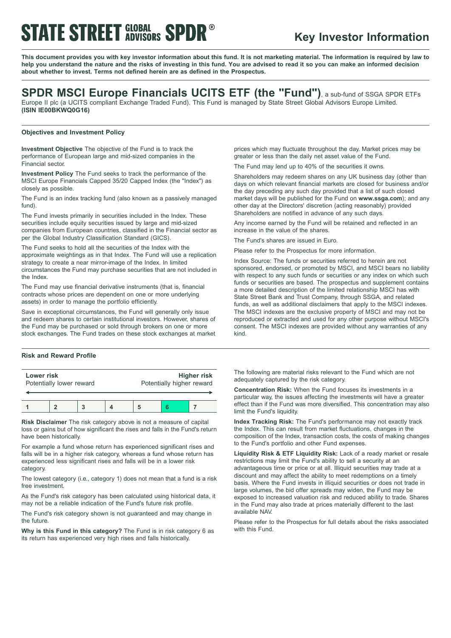# **STATE STREET GLOBAL SPDR®**

## **Key Investor Information**

This document provides you with key investor information about this fund. It is not marketing material. The information is required by law to help you understand the nature and the risks of investing in this fund. You are advised to read it so you can make an informed decision **about whether to invest. Terms not defined herein are as defined in the Prospectus.**

## **SPDR MSCI Europe Financials UCITS ETF (the "Fund")**, <sup>a</sup> sub-fund of SSGA SPDR ETFs

Europe II plc (a UCITS compliant Exchange Traded Fund). This Fund is managed by State Street Global Advisors Europe Limited. **(ISIN IE00BKWQ0G16)**

### **Objectives and Investment Policy**

**Investment Objective** The objective of the Fund is to track the performance of European large and mid-sized companies in the Financial sector.

**Investment Policy** The Fund seeks to track the performance of the MSCI Europe Financials Capped 35/20 Capped Index (the "Index") as closely as possible.

The Fund is an index tracking fund (also known as a passively managed fund).

The Fund invests primarily in securities included in the Index. These securities include equity securities issued by large and mid-sized companies from European countries, classified in the Financial sector as per the Global Industry Classification Standard (GICS).

The Fund seeks to hold all the securities of the Index with the approximate weightings as in that Index. The Fund will use a replication strategy to create a near mirror-image of the Index. In limited circumstances the Fund may purchase securities that are not included in the Index.

The Fund may use financial derivative instruments (that is, financial contracts whose prices are dependent on one or more underlying assets) in order to manage the portfolio efficiently.

Save in exceptional circumstances, the Fund will generally only issue and redeem shares to certain institutional investors. However, shares of the Fund may be purchased or sold through brokers on one or more stock exchanges. The Fund trades on these stock exchanges at market

### **Risk and Reward Profile**

| Lower risk<br>Potentially lower reward |  |  | <b>Higher risk</b><br>Potentially higher reward |  |  |
|----------------------------------------|--|--|-------------------------------------------------|--|--|
|                                        |  |  |                                                 |  |  |

**Risk Disclaimer** The risk category above is not a measure of capital loss or gains but of how significant the rises and falls in the Fund's return have been historically.

For example a fund whose return has experienced significant rises and falls will be in a higher risk category, whereas a fund whose return has experienced less significant rises and falls will be in a lower risk category.

The lowest category (i.e., category 1) does not mean that a fund is a risk free investment.

As the Fund's risk category has been calculated using historical data, it may not be a reliable indication of the Fund's future risk profile.

The Fund's risk category shown is not guaranteed and may change in the future.

**Why is this Fund in this category?** The Fund is in risk category 6 as its return has experienced very high rises and falls historically.

prices which may fluctuate throughout the day. Market prices may be greater or less than the daily net asset value of the Fund.

The Fund may lend up to 40% of the securities it owns.

Shareholders may redeem shares on any UK business day (other than days on which relevant financial markets are closed for business and/or the day preceding any such day provided that a list of such closed market days will be published for the Fund on **www.ssga.com**); and any other day at the Directors' discretion (acting reasonably) provided Shareholders are notified in advance of any such days.

Any income earned by the Fund will be retained and reflected in an increase in the value of the shares.

The Fund's shares are issued in Euro.

Please refer to the Prospectus for more information.

Index Source: The funds or securities referred to herein are not sponsored, endorsed, or promoted by MSCI, and MSCI bears no liability with respect to any such funds or securities or any index on which such funds or securities are based. The prospectus and supplement contains a more detailed description of the limited relationship MSCI has with State Street Bank and Trust Company, through SSGA, and related funds, as well as additional disclaimers that apply to the MSCI indexes. The MSCI indexes are the exclusive property of MSCI and may not be reproduced or extracted and used for any other purpose without MSCI's consent. The MSCI indexes are provided without any warranties of any kind.

The following are material risks relevant to the Fund which are not adequately captured by the risk category.

**Concentration Risk:** When the Fund focuses its investments in a particular way, the issues affecting the investments will have a greater effect than if the Fund was more diversified. This concentration may also limit the Fund's liquidity.

**Index Tracking Risk:** The Fund's performance may not exactly track the Index. This can result from market fluctuations, changes in the composition of the Index, transaction costs, the costs of making changes to the Fund's portfolio and other Fund expenses.

**Liquidity Risk & ETF Liquidity Risk:** Lack of a ready market or resale restrictions may limit the Fund's ability to sell a security at an advantageous time or price or at all. Illiquid securities may trade at a discount and may affect the ability to meet redemptions on a timely basis. Where the Fund invests in illiquid securities or does not trade in large volumes, the bid offer spreads may widen, the Fund may be exposed to increased valuation risk and reduced ability to trade. Shares in the Fund may also trade at prices materially different to the last available NAV.

Please refer to the Prospectus for full details about the risks associated with this Fund.